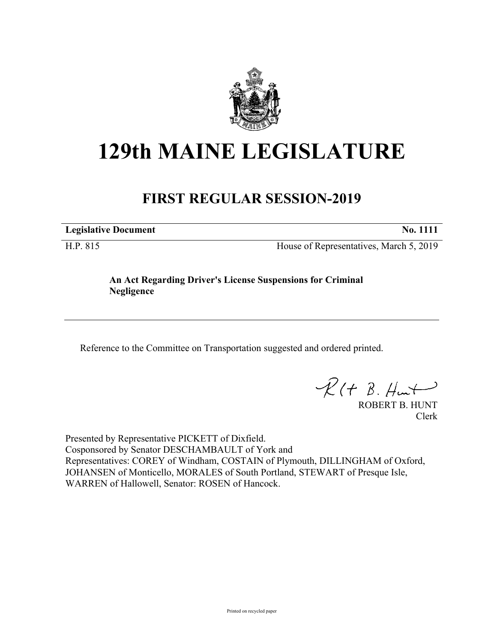

## **129th MAINE LEGISLATURE**

## **FIRST REGULAR SESSION-2019**

**Legislative Document No. 1111**

H.P. 815 House of Representatives, March 5, 2019

**An Act Regarding Driver's License Suspensions for Criminal Negligence**

Reference to the Committee on Transportation suggested and ordered printed.

 $R(t B. Hmt)$ 

ROBERT B. HUNT Clerk

Presented by Representative PICKETT of Dixfield. Cosponsored by Senator DESCHAMBAULT of York and Representatives: COREY of Windham, COSTAIN of Plymouth, DILLINGHAM of Oxford, JOHANSEN of Monticello, MORALES of South Portland, STEWART of Presque Isle, WARREN of Hallowell, Senator: ROSEN of Hancock.